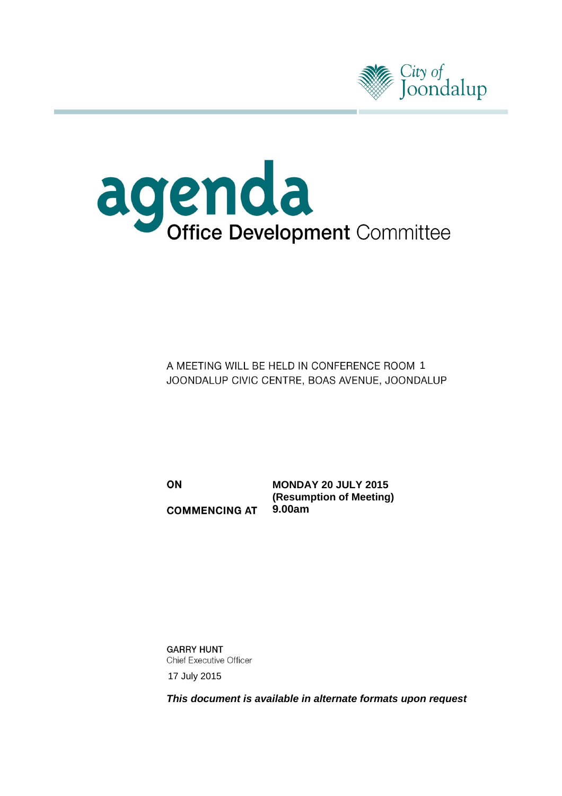



A MEETING WILL BE HELD IN CONFERENCE ROOM 1 JOONDALUP CIVIC CENTRE, BOAS AVENUE, JOONDALUP

ON **COMMENCING AT** 

**MONDAY 20 JULY 2015 (Resumption of Meeting) 9.00am** 

**GARRY HUNT Chief Executive Officer** 17 July 2015

*This document is available in alternate formats upon request*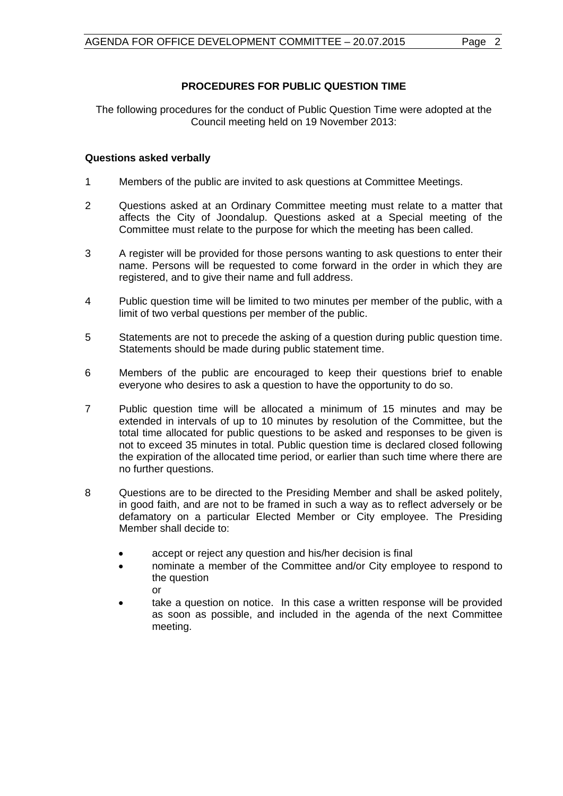## **PROCEDURES FOR PUBLIC QUESTION TIME**

The following procedures for the conduct of Public Question Time were adopted at the Council meeting held on 19 November 2013:

## **Questions asked verbally**

- 1 Members of the public are invited to ask questions at Committee Meetings.
- 2 Questions asked at an Ordinary Committee meeting must relate to a matter that affects the City of Joondalup. Questions asked at a Special meeting of the Committee must relate to the purpose for which the meeting has been called.
- 3 A register will be provided for those persons wanting to ask questions to enter their name. Persons will be requested to come forward in the order in which they are registered, and to give their name and full address.
- 4 Public question time will be limited to two minutes per member of the public, with a limit of two verbal questions per member of the public.
- 5 Statements are not to precede the asking of a question during public question time. Statements should be made during public statement time.
- 6 Members of the public are encouraged to keep their questions brief to enable everyone who desires to ask a question to have the opportunity to do so.
- 7 Public question time will be allocated a minimum of 15 minutes and may be extended in intervals of up to 10 minutes by resolution of the Committee, but the total time allocated for public questions to be asked and responses to be given is not to exceed 35 minutes in total. Public question time is declared closed following the expiration of the allocated time period, or earlier than such time where there are no further questions.
- 8 Questions are to be directed to the Presiding Member and shall be asked politely, in good faith, and are not to be framed in such a way as to reflect adversely or be defamatory on a particular Elected Member or City employee. The Presiding Member shall decide to:
	- accept or reject any question and his/her decision is final
	- nominate a member of the Committee and/or City employee to respond to the question or
	- take a question on notice. In this case a written response will be provided as soon as possible, and included in the agenda of the next Committee meeting.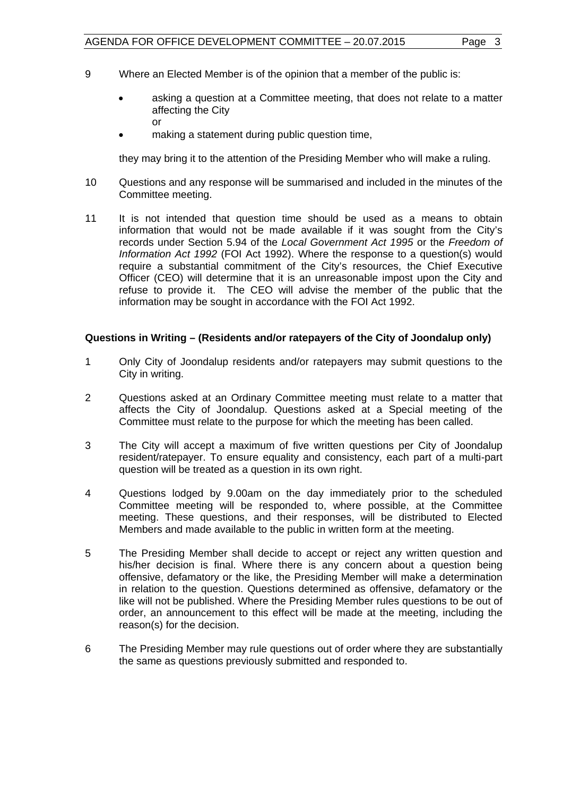- 9 Where an Elected Member is of the opinion that a member of the public is:
	- asking a question at a Committee meeting, that does not relate to a matter affecting the City or
	- making a statement during public question time,

they may bring it to the attention of the Presiding Member who will make a ruling.

- 10 Questions and any response will be summarised and included in the minutes of the Committee meeting.
- 11 It is not intended that question time should be used as a means to obtain information that would not be made available if it was sought from the City's records under Section 5.94 of the *Local Government Act 1995* or the *Freedom of Information Act 1992* (FOI Act 1992). Where the response to a question(s) would require a substantial commitment of the City's resources, the Chief Executive Officer (CEO) will determine that it is an unreasonable impost upon the City and refuse to provide it. The CEO will advise the member of the public that the information may be sought in accordance with the FOI Act 1992.

### **Questions in Writing – (Residents and/or ratepayers of the City of Joondalup only)**

- 1 Only City of Joondalup residents and/or ratepayers may submit questions to the City in writing.
- 2 Questions asked at an Ordinary Committee meeting must relate to a matter that affects the City of Joondalup. Questions asked at a Special meeting of the Committee must relate to the purpose for which the meeting has been called.
- 3 The City will accept a maximum of five written questions per City of Joondalup resident/ratepayer. To ensure equality and consistency, each part of a multi-part question will be treated as a question in its own right.
- 4 Questions lodged by 9.00am on the day immediately prior to the scheduled Committee meeting will be responded to, where possible, at the Committee meeting. These questions, and their responses, will be distributed to Elected Members and made available to the public in written form at the meeting.
- 5 The Presiding Member shall decide to accept or reject any written question and his/her decision is final. Where there is any concern about a question being offensive, defamatory or the like, the Presiding Member will make a determination in relation to the question. Questions determined as offensive, defamatory or the like will not be published. Where the Presiding Member rules questions to be out of order, an announcement to this effect will be made at the meeting, including the reason(s) for the decision.
- 6 The Presiding Member may rule questions out of order where they are substantially the same as questions previously submitted and responded to.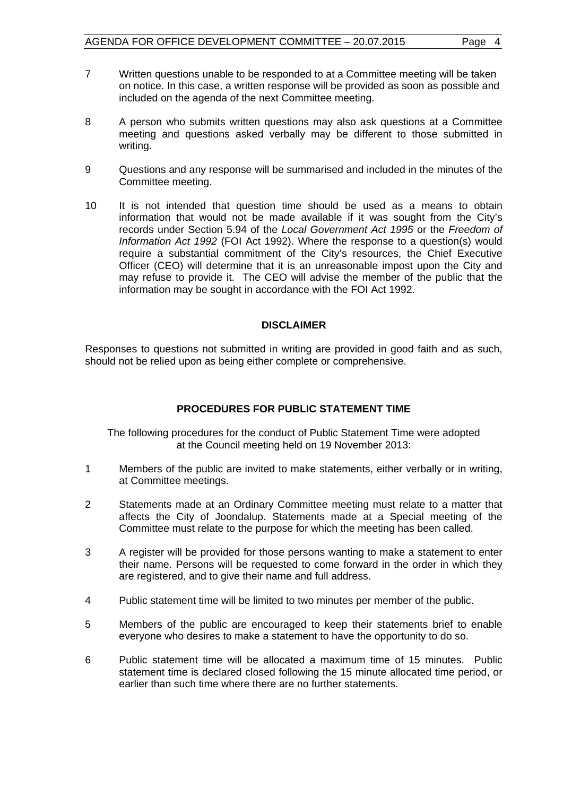- 7 Written questions unable to be responded to at a Committee meeting will be taken on notice. In this case, a written response will be provided as soon as possible and included on the agenda of the next Committee meeting.
- 8 A person who submits written questions may also ask questions at a Committee meeting and questions asked verbally may be different to those submitted in writing.
- 9 Questions and any response will be summarised and included in the minutes of the Committee meeting.
- 10 It is not intended that question time should be used as a means to obtain information that would not be made available if it was sought from the City's records under Section 5.94 of the *Local Government Act 1995* or the *Freedom of Information Act 1992* (FOI Act 1992). Where the response to a question(s) would require a substantial commitment of the City's resources, the Chief Executive Officer (CEO) will determine that it is an unreasonable impost upon the City and may refuse to provide it. The CEO will advise the member of the public that the information may be sought in accordance with the FOI Act 1992.

### **DISCLAIMER**

Responses to questions not submitted in writing are provided in good faith and as such, should not be relied upon as being either complete or comprehensive.

## **PROCEDURES FOR PUBLIC STATEMENT TIME**

The following procedures for the conduct of Public Statement Time were adopted at the Council meeting held on 19 November 2013:

- 1 Members of the public are invited to make statements, either verbally or in writing, at Committee meetings.
- 2 Statements made at an Ordinary Committee meeting must relate to a matter that affects the City of Joondalup. Statements made at a Special meeting of the Committee must relate to the purpose for which the meeting has been called.
- 3 A register will be provided for those persons wanting to make a statement to enter their name. Persons will be requested to come forward in the order in which they are registered, and to give their name and full address.
- 4 Public statement time will be limited to two minutes per member of the public.
- 5 Members of the public are encouraged to keep their statements brief to enable everyone who desires to make a statement to have the opportunity to do so.
- 6 Public statement time will be allocated a maximum time of 15 minutes. Public statement time is declared closed following the 15 minute allocated time period, or earlier than such time where there are no further statements.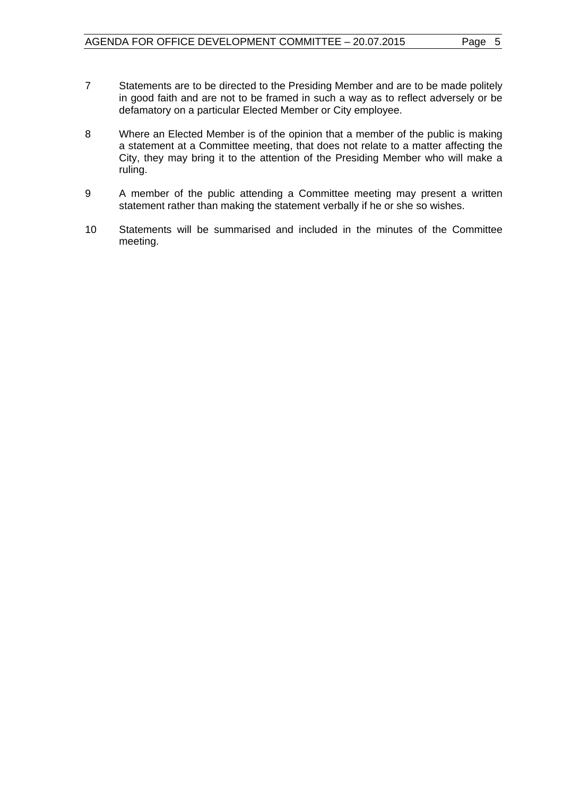- 7 Statements are to be directed to the Presiding Member and are to be made politely in good faith and are not to be framed in such a way as to reflect adversely or be defamatory on a particular Elected Member or City employee.
- 8 Where an Elected Member is of the opinion that a member of the public is making a statement at a Committee meeting, that does not relate to a matter affecting the City, they may bring it to the attention of the Presiding Member who will make a ruling.
- 9 A member of the public attending a Committee meeting may present a written statement rather than making the statement verbally if he or she so wishes.
- 10 Statements will be summarised and included in the minutes of the Committee meeting.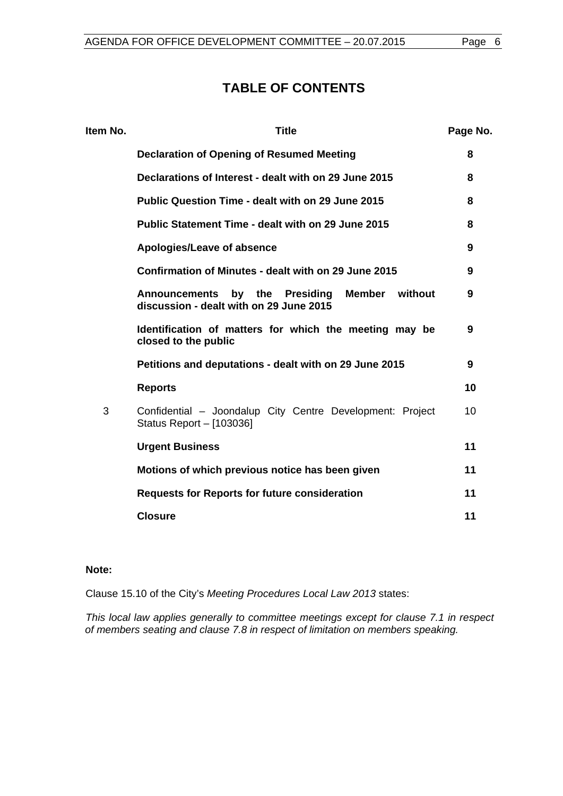# **TABLE OF CONTENTS**

| Item No. | <b>Title</b>                                                                                                    | Page No. |
|----------|-----------------------------------------------------------------------------------------------------------------|----------|
|          | <b>Declaration of Opening of Resumed Meeting</b>                                                                | 8        |
|          | Declarations of Interest - dealt with on 29 June 2015                                                           | 8        |
|          | Public Question Time - dealt with on 29 June 2015                                                               | 8        |
|          | Public Statement Time - dealt with on 29 June 2015                                                              | 8        |
|          | Apologies/Leave of absence                                                                                      | 9        |
|          | Confirmation of Minutes - dealt with on 29 June 2015                                                            | 9        |
|          | by the<br><b>Presiding</b><br>Member without<br><b>Announcements</b><br>discussion - dealt with on 29 June 2015 | 9        |
|          | Identification of matters for which the meeting may be<br>closed to the public                                  | 9        |
|          | Petitions and deputations - dealt with on 29 June 2015                                                          | 9        |
|          | <b>Reports</b>                                                                                                  | 10       |
| 3        | Confidential - Joondalup City Centre Development: Project<br>Status Report - [103036]                           | 10       |
|          | <b>Urgent Business</b>                                                                                          | 11       |
|          | Motions of which previous notice has been given                                                                 | 11       |
|          | <b>Requests for Reports for future consideration</b>                                                            | 11       |
|          | <b>Closure</b>                                                                                                  | 11       |

## **Note:**

Clause 15.10 of the City's *Meeting Procedures Local Law 2013* states:

*This local law applies generally to committee meetings except for clause 7.1 in respect of members seating and clause 7.8 in respect of limitation on members speaking.*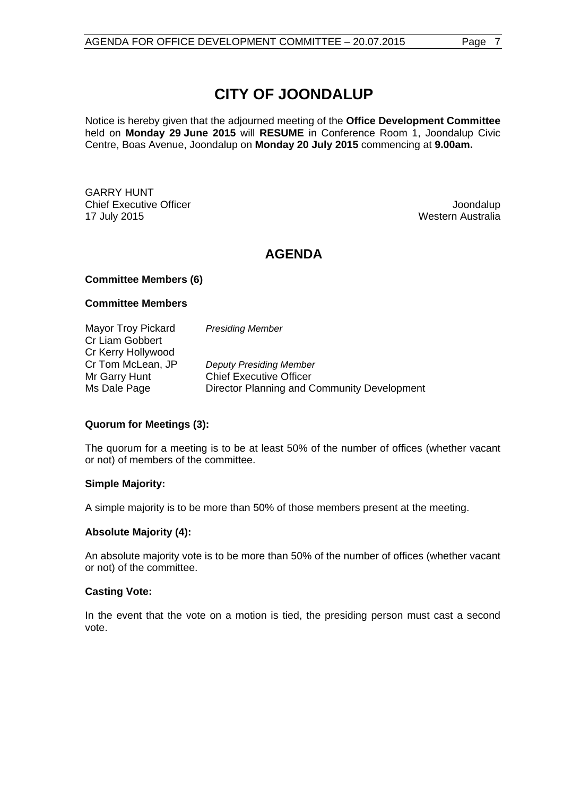Notice is hereby given that the adjourned meeting of the **Office Development Committee**  held on **Monday 29 June 2015** will **RESUME** in Conference Room 1, Joondalup Civic Centre, Boas Avenue, Joondalup on **Monday 20 July 2015** commencing at **9.00am.**

GARRY HUNT **Chief Executive Officer Joseph According to the Chief Executive Officer Joseph According to the Chief According to the Chief According to the Chief According to the Chief According to the Chief According to the Chief Acco** 17 July 2015 Western Australia

## **AGENDA**

### **Committee Members (6)**

#### **Committee Members**

| <b>Mayor Troy Pickard</b> | <b>Presiding Member</b>                     |
|---------------------------|---------------------------------------------|
| <b>Cr Liam Gobbert</b>    |                                             |
| Cr Kerry Hollywood        |                                             |
| Cr Tom McLean, JP         | <b>Deputy Presiding Member</b>              |
| Mr Garry Hunt             | <b>Chief Executive Officer</b>              |
| Ms Dale Page              | Director Planning and Community Development |

## **Quorum for Meetings (3):**

The quorum for a meeting is to be at least 50% of the number of offices (whether vacant or not) of members of the committee.

#### **Simple Majority:**

A simple majority is to be more than 50% of those members present at the meeting.

#### **Absolute Majority (4):**

An absolute majority vote is to be more than 50% of the number of offices (whether vacant or not) of the committee.

#### **Casting Vote:**

In the event that the vote on a motion is tied, the presiding person must cast a second vote.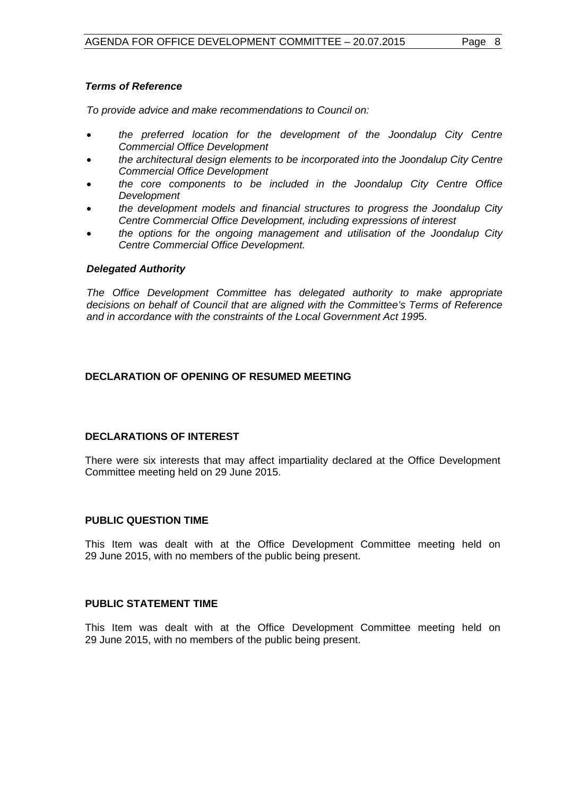## *Terms of Reference*

*To provide advice and make recommendations to Council on:*

- *the preferred location for the development of the Joondalup City Centre Commercial Office Development*
- *the architectural design elements to be incorporated into the Joondalup City Centre Commercial Office Development*
- *the core components to be included in the Joondalup City Centre Office Development*
- *the development models and financial structures to progress the Joondalup City Centre Commercial Office Development, including expressions of interest*
- *the options for the ongoing management and utilisation of the Joondalup City Centre Commercial Office Development.*

### *Delegated Authority*

*The Office Development Committee has delegated authority to make appropriate decisions on behalf of Council that are aligned with the Committee's Terms of Reference and in accordance with the constraints of the Local Government Act 199*5.

## <span id="page-7-0"></span>**DECLARATION OF OPENING OF RESUMED MEETING**

## <span id="page-7-1"></span>**DECLARATIONS OF INTEREST**

There were six interests that may affect impartiality declared at the Office Development Committee meeting held on 29 June 2015.

## <span id="page-7-2"></span>**PUBLIC QUESTION TIME**

This Item was dealt with at the Office Development Committee meeting held on 29 June 2015, with no members of the public being present.

#### <span id="page-7-3"></span>**PUBLIC STATEMENT TIME**

This Item was dealt with at the Office Development Committee meeting held on 29 June 2015, with no members of the public being present.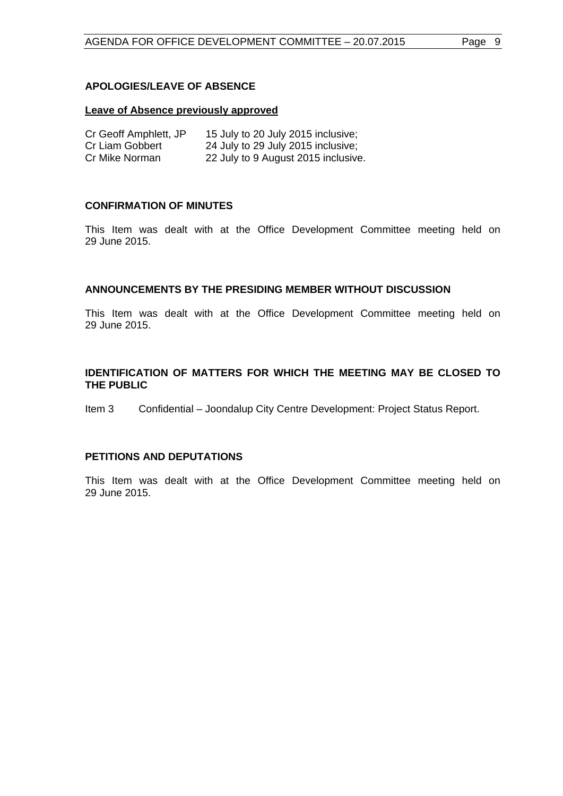## <span id="page-8-0"></span>**APOLOGIES/LEAVE OF ABSENCE**

#### **Leave of Absence previously approved**

| Cr Geoff Amphlett, JP | 15 July to 20 July 2015 inclusive;  |
|-----------------------|-------------------------------------|
| Cr Liam Gobbert       | 24 July to 29 July 2015 inclusive;  |
| Cr Mike Norman        | 22 July to 9 August 2015 inclusive. |

### <span id="page-8-1"></span>**CONFIRMATION OF MINUTES**

This Item was dealt with at the Office Development Committee meeting held on 29 June 2015.

#### <span id="page-8-2"></span>**ANNOUNCEMENTS BY THE PRESIDING MEMBER WITHOUT DISCUSSION**

This Item was dealt with at the Office Development Committee meeting held on 29 June 2015.

### <span id="page-8-3"></span>**IDENTIFICATION OF MATTERS FOR WHICH THE MEETING MAY BE CLOSED TO THE PUBLIC**

Item 3 Confidential – Joondalup City Centre Development: Project Status Report.

### <span id="page-8-4"></span>**PETITIONS AND DEPUTATIONS**

This Item was dealt with at the Office Development Committee meeting held on 29 June 2015.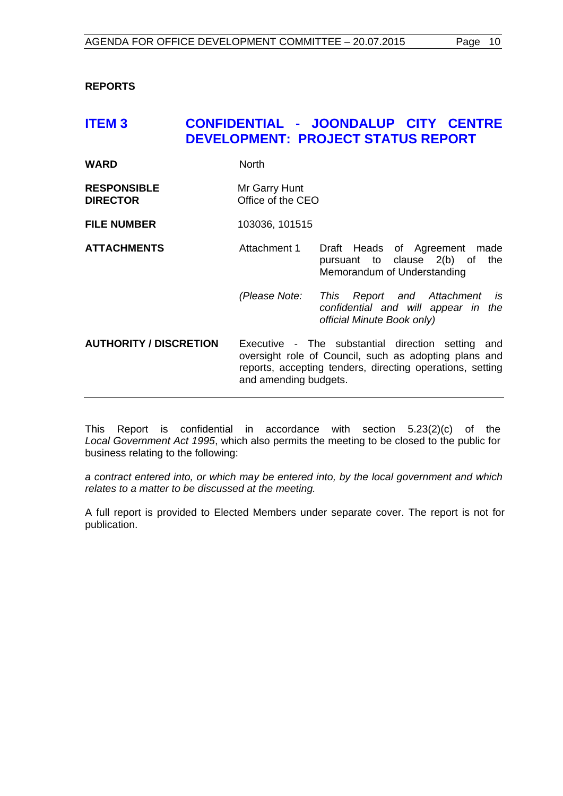<span id="page-9-0"></span>**REPORTS**

## <span id="page-9-1"></span>**ITEM 3 CONFIDENTIAL - JOONDALUP CITY CENTRE DEVELOPMENT: PROJECT STATUS REPORT**

| WARD | North |
|------|-------|
|      |       |

**RESPONSIBLE** Mr Garry Hunt **DIRECTOR** Office of the CEO

**FILE NUMBER** 103036, 101515

**ATTACHMENTS** Attachment 1 Draft Heads of Agreement made pursuant to clause 2(b) of the Memorandum of Understanding

> *(Please Note: This Report and Attachment is confidential and will appear in the official Minute Book only)*

**AUTHORITY / DISCRETION** Executive - The substantial direction setting and oversight role of Council, such as adopting plans and reports, accepting tenders, directing operations, setting and amending budgets.

This Report is confidential in accordance with section 5.23(2)(c) of the *Local Government Act 1995*, which also permits the meeting to be closed to the public for business relating to the following:

*a contract entered into, or which may be entered into, by the local government and which relates to a matter to be discussed at the meeting.*

A full report is provided to Elected Members under separate cover. The report is not for publication.